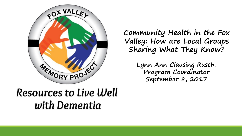

**Community Health in the Fox Valley: How are Local Groups Sharing What They Know?**

> **Lynn Ann Clausing Rusch, Program Coordinator September 8, 2017**

### Resources to Live Well with Dementia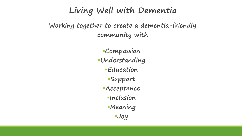#### **Living Well with Dementia**

**Working together to create a dementia-friendly community with**

> ▪**Compassion** ▪**Understanding** ▪**Education** ▪**Support** ▪**Acceptance** ▪**Inclusion** ▪**Meaning**  ▪**Joy**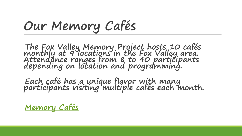# **Our Memory Cafés**

**The Fox Valley Memory Project hosts 10 cafés monthly at 9 locations in the Fox Valley area. Attendance ranges from 8 to 40 participants depending on location and programming.** 

**Each café has a unique flavor with many participants visiting multiple cafés each month.**

**[Memory Cafés](http://files.constantcontact.com/47d5842b401/6249ef81-f302-422d-90e1-7a88d3d36fe3.pdf)**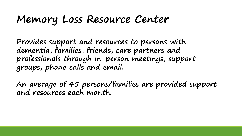### **Memory Loss Resource Center**

**Provides support and resources to persons with dementia, families, friends, care partners and professionals through in-person meetings, support groups, phone calls and email.** 

**An average of 45 persons/families are provided support and resources each month.**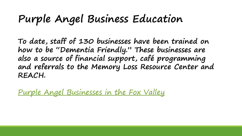# **Purple Angel Business Education**

**To date, staff of 130 businesses have been trained on how to be "Dementia Friendly." These businesses are also a source of financial support, café programming and referrals to the Memory Loss Resource Center and REACH.** 

[Purple Angel Businesses in the Fox Valley](http://files.constantcontact.com/47d5842b401/08f2fa9b-bbed-42cb-8b3f-3a5bef6d88f2.pdf)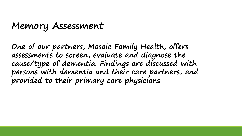#### **Memory Assessment**

**One of our partners, Mosaic Family Health, offers assessments to screen, evaluate and diagnose the cause/type of dementia. Findings are discussed with persons with dementia and their care partners, and provided to their primary care physicians.**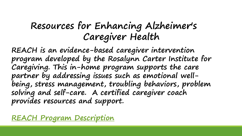### **Resources for Enhancing Alzheimer's Caregiver Health**

**REACH is an evidence-based caregiver intervention program developed by the Rosalynn Carter Institute for Caregiving. This in-home program supports the care partner by addressing issues such as emotional wellbeing, stress management, troubling behaviors, problem solving and self-care. A certified caregiver coach provides resources and support.** 

**[REACH Program Description](http://files.ctctcdn.com/47d5842b401/25c7c326-2c94-451b-9b9c-bf3f48c0966e.pdf)**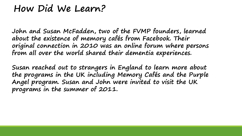#### **How Did We Learn?**

**John and Susan McFadden, two of the FVMP founders, learned about the existence of memory cafés from Facebook. Their original connection in 2010 was an online forum where persons from all over the world shared their dementia experiences.** 

**Susan reached out to strangers in England to learn more about the programs in the UK including Memory Cafés and the Purple Angel program. Susan and John were invited to visit the UK programs in the summer of 2011.**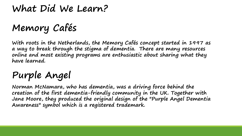### **What Did We Learn?**

# **Memory Cafés**

**With roots in the Netherlands, the Memory Cafés concept started in 1997 as a way to break through the stigma of dementia. There are many resources online and most existing programs are enthusiastic about sharing what they have learned.**

## **Purple Angel**

**Norman McNamara, who has dementia, was a driving force behind the creation of the first dementia-friendly community in the UK. Together with Jane Moore, they produced the original design of the "Purple Angel Dementia Awareness" symbol which is a registered trademark.**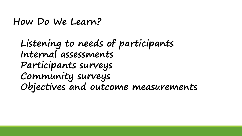**How Do We Learn?**

**Listening to needs of participants Internal assessments Participants surveys Community surveys Objectives and outcome measurements**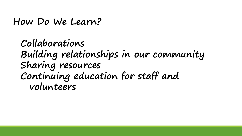**How Do We Learn?**

**Collaborations Building relationships in our community Sharing resources Continuing education for staff and volunteers**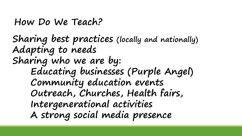#### **How Do We Teach?**

**Sharing best practices (locally and nationally) Adapting to needs Sharing who we are by: Educating businesses (Purple Angel) Community education events Outreach, Churches, Health fairs, Intergenerational activities A strong social media presence**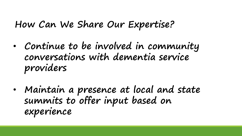#### **How Can We Share Our Expertise?**

- **Continue to be involved in community conversations with dementia service providers**
- **Maintain a presence at local and state summits to offer input based on experience**